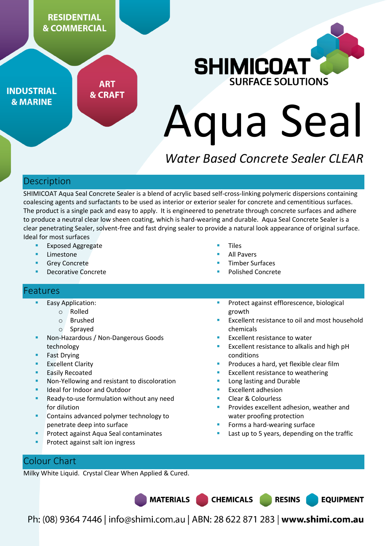

**INDUSTRIAL & MARINE** 

**ART & CRAFT** 



# Aqua Seal

# *Water Based Concrete Sealer CLEAR*

# **Description**

SHIMICOAT Aqua Seal Concrete Sealer is a blend of acrylic based self-cross-linking polymeric dispersions containing coalescing agents and surfactants to be used as interior or exterior sealer for concrete and cementitious surfaces. The product is a single pack and easy to apply. It is engineered to penetrate through concrete surfaces and adhere to produce a neutral clear low sheen coating, which is hard-wearing and durable. Aqua Seal Concrete Sealer is a clear penetrating Sealer, solvent-free and fast drying sealer to provide a natural look appearance of original surface. Ideal for most surfaces

- Exposed Aggregate
- Limestone
- Grey Concrete
- Decorative Concrete
- Tiles
- All Pavers
- Timber Surfaces
- Polished Concrete

#### **Features**

- Easy Application:
	- o Rolled
		- o Brushed
		- o Sprayed
- Non-Hazardous / Non-Dangerous Goods technology
- Fast Drying
- **Excellent Clarity**
- **Easily Recoated**
- Non-Yellowing and resistant to discoloration
- Ideal for Indoor and Outdoor
- Ready-to-use formulation without any need for dilution
- Contains advanced polymer technology to penetrate deep into surface
- Protect against Aqua Seal contaminates
- Protect against salt ion ingress
- Protect against efflorescence, biological growth
- Excellent resistance to oil and most household chemicals
- Excellent resistance to water
- Excellent resistance to alkalis and high pH conditions
- Produces a hard, yet flexible clear film
- Excellent resistance to weathering
- Long lasting and Durable
- Excellent adhesion
- Clear & Colourless

**CHEMICALS** 

- Provides excellent adhesion, weather and water proofing protection
- Forms a hard-wearing surface
- Last up to 5 years, depending on the traffic

**RESINS** 

**EQUIPMENT** 

# Colour Chart

Milky White Liquid. Crystal Clear When Applied & Cured.

**MATERIALS** 

Ph: (08) 9364 7446 | info@shimi.com.au | ABN: 28 622 871 283 | www.shimi.com.au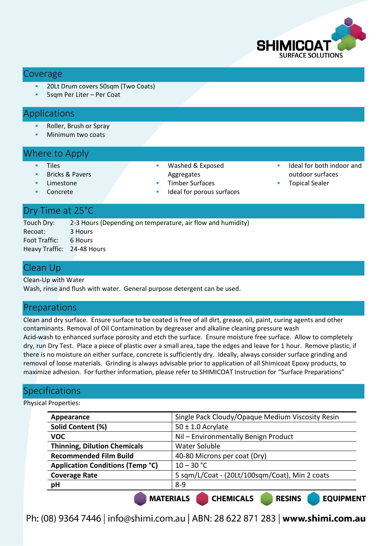

#### Coverage

- 20Lt Drum covers 50sqm (Two Coats)
- 5sqm Per Liter Per Coat

#### **Applications**

- Roller, Brush or Spray
- Minimum two coats

#### Where to Apply

- Tiles
- Bricks & Pavers Limestone
- Washed & Exposed Aggregates
- Timber Surfaces
- Ideal for porous surfaces
- Ideal for both indoor and outdoor surfaces
- Topical Sealer

#### Dry Time at 25°C

Concrete

Touch Dry: 2-3 Hours (Depending on temperature, air flow and humidity) Recoat: 3 Hours Foot Traffic: 6 Hours Heavy Traffic: 24-48 Hours

#### Clean Up

Clean-Up with Water

Wash, rinse and flush with water. General purpose detergent can be used.

#### Preparations

Clean and dry surface. Ensure surface to be coated is free of all dirt, grease, oil, paint, curing agents and other contaminants. Removal of Oil Contamination by degreaser and alkaline cleaning pressure wash Acid-wash to enhanced surface porosity and etch the surface. Ensure moisture free surface. Allow to completely dry, run Dry Test. Place a piece of plastic over a small area, tape the edges and leave for 1 hour. Remove plastic, if there is no moisture on either surface, concrete is sufficiently dry. Ideally, always consider surface grinding and removal of loose materials. Grinding is always advisable prior to application of all Shimicoat Epoxy products, to maximize adhesion. For further information, please refer to SHIMICOAT Instruction for "Surface Preparations"

# Specifications

Physical Properties:

| Appearance                                                              | Single Pack Cloudy/Opaque Medium Viscosity Resin |
|-------------------------------------------------------------------------|--------------------------------------------------|
| Solid Content (%)                                                       | $50 \pm 1.0$ Acrylate                            |
| <b>VOC</b>                                                              | Nil - Environmentally Benign Product             |
| <b>Thinning, Dilution Chemicals</b>                                     | Water Soluble                                    |
| <b>Recommended Film Build</b>                                           | 40-80 Microns per coat (Dry)                     |
| <b>Application Conditions (Temp °C)</b>                                 | $10 - 30 °C$                                     |
| <b>Coverage Rate</b>                                                    | 5 sqm/L/Coat - (20Lt/100sqm/Coat), Min 2 coats   |
| pH                                                                      | $8-9$                                            |
| <b>CHEMICALS</b><br><b>MATERIALS</b><br><b>DECINC</b><br><b>EOUDMEN</b> |                                                  |

Ph: (08) 9364 7446 | info@shimi.com.au | ABN: 28 622 871 283 | www.shimi.com.au